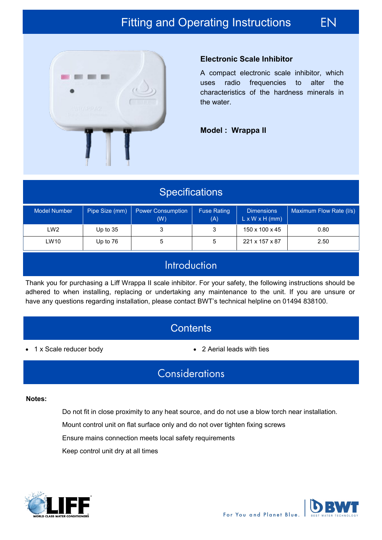

### **Electronic Scale Inhibitor**

A compact electronic scale inhibitor, which uses radio frequencies to alter the characteristics of the hardness minerals in the water.

FN

**Model : Wrappa II**

## **Specifications**

| <b>Model Number</b> | Pipe Size (mm) | <b>Power Consumption</b><br>(W) | <b>Fuse Rating</b><br>(A) | <b>Dimensions</b><br>$L \times W \times H$ (mm) | Maximum Flow Rate (I/s) |
|---------------------|----------------|---------------------------------|---------------------------|-------------------------------------------------|-------------------------|
| LW <sub>2</sub>     | Up to $35$     |                                 |                           | 150 x 100 x 45                                  | 0.80                    |
| LW10                | Up to 76       |                                 | 5                         | 221 x 157 x 87                                  | 2.50                    |

### Introduction

Thank you for purchasing a Liff Wrappa II scale inhibitor. For your safety, the following instructions should be adhered to when installing, replacing or undertaking any maintenance to the unit. If you are unsure or have any questions regarding installation, please contact BWT's technical helpline on 01494 838100.

### **Contents**

- 1 x Scale reducer body **2** Aerial leads with ties
- 

## Considerations

#### **Notes:**

Do not fit in close proximity to any heat source, and do not use a blow torch near installation.

Mount control unit on flat surface only and do not over tighten fixing screws

Ensure mains connection meets local safety requirements

Keep control unit dry at all times